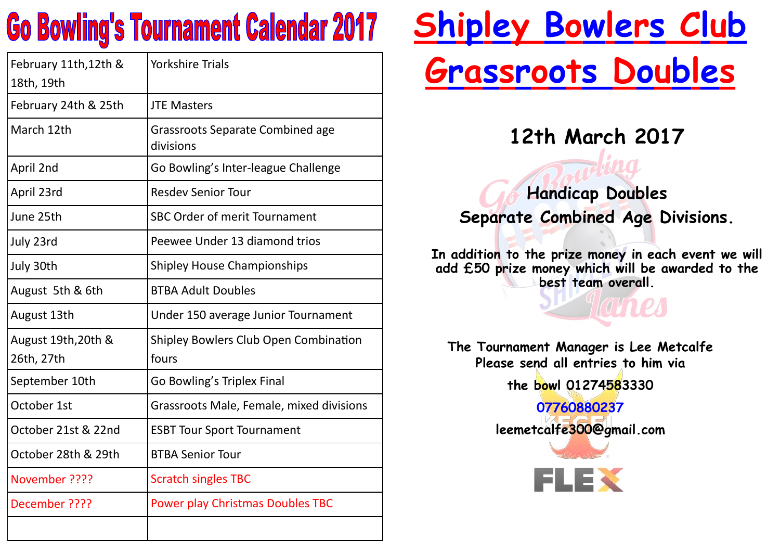## **Go Bowling's Tournament Calendar 2017**

| February 11th, 12th &<br>18th, 19th | <b>Yorkshire Trials</b>                               |
|-------------------------------------|-------------------------------------------------------|
| February 24th & 25th                | <b>JTE Masters</b>                                    |
| March 12th                          | <b>Grassroots Separate Combined age</b><br>divisions  |
| April 2nd                           | Go Bowling's Inter-league Challenge                   |
| April 23rd                          | <b>Resdev Senior Tour</b>                             |
| June 25th                           | <b>SBC Order of merit Tournament</b>                  |
| July 23rd                           | Peewee Under 13 diamond trios                         |
| July 30th                           | <b>Shipley House Championships</b>                    |
| August 5th & 6th                    | <b>BTBA Adult Doubles</b>                             |
| August 13th                         | Under 150 average Junior Tournament                   |
| August 19th, 20th &<br>26th, 27th   | <b>Shipley Bowlers Club Open Combination</b><br>fours |
| September 10th                      | Go Bowling's Triplex Final                            |
| October 1st                         | Grassroots Male, Female, mixed divisions              |
| October 21st & 22nd                 | <b>ESBT Tour Sport Tournament</b>                     |
| October 28th & 29th                 | <b>BTBA Senior Tour</b>                               |
| November ????                       | <b>Scratch singles TBC</b>                            |
| December ????                       | <b>Power play Christmas Doubles TBC</b>               |
|                                     |                                                       |

# **Shipley Bowlers Club Grassroots Doubles**

**12th March 2017**

**Handicap Doubles Separate Combined Age Divisions.**

**In addition to the prize money in each event we will add £50 prize money which will be awarded to the best team overall.**

**Tamp** 

**The Tournament Manager is Lee Metcalfe Please send all entries to him via the bowl 01274583330**

> **07760880237 leemetcalfe300@gmail.com**